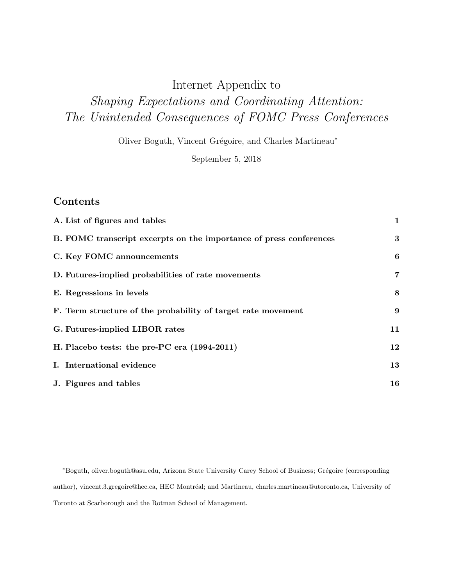# <span id="page-0-0"></span>Internet Appendix to Shaping Expectations and Coordinating Attention: The Unintended Consequences of FOMC Press Conferences

Oliver Boguth, Vincent Grégoire, and Charles Martineau<sup>\*</sup>

September 5, 2018

# Contents

| A. List of figures and tables                                      | $\mathbf{1}$     |
|--------------------------------------------------------------------|------------------|
| B. FOMC transcript excerpts on the importance of press conferences | $\bf{3}$         |
| C. Key FOMC announcements                                          | 6                |
| D. Futures-implied probabilities of rate movements                 | $\overline{7}$   |
| E. Regressions in levels                                           | 8                |
| F. Term structure of the probability of target rate movement       | $\boldsymbol{9}$ |
| G. Futures-implied LIBOR rates                                     | 11               |
| H. Placebo tests: the pre-PC era (1994-2011)                       | 12               |
| I. International evidence                                          | 13               |
| J. Figures and tables                                              | 16               |
|                                                                    |                  |

<sup>\*</sup>Boguth, oliver.boguth@asu.edu, Arizona State University Carey School of Business; Grégoire (corresponding author), vincent.3.gregoire@hec.ca, HEC Montréal; and Martineau, charles.martineau@utoronto.ca, University of Toronto at Scarborough and the Rotman School of Management.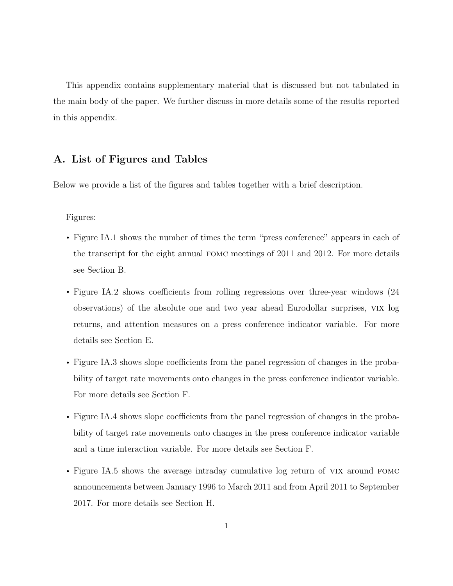This appendix contains supplementary material that is discussed but not tabulated in the main body of the paper. We further discuss in more details some of the results reported in this appendix.

### <span id="page-1-0"></span>A. List of Figures and Tables

Below we provide a list of the figures and tables together with a brief description.

#### Figures:

- Figure [IA.1](#page-16-1) shows the number of times the term "press conference" appears in each of the transcript for the eight annual fomc meetings of 2011 and 2012. For more details see Section [B.](#page-3-0)
- Figure [IA.2](#page-17-0) shows coefficients from rolling regressions over three-year windows  $(24)$ observations) of the absolute one and two year ahead Eurodollar surprises, vix log returns, and attention measures on a press conference indicator variable. For more details see Section [E.](#page-8-0)
- Figure [IA.3](#page-18-0) shows slope coefficients from the panel regression of changes in the probability of target rate movements onto changes in the press conference indicator variable. For more details see Section [F.](#page-9-0)
- Figure [IA.4](#page-19-0) shows slope coefficients from the panel regression of changes in the probability of target rate movements onto changes in the press conference indicator variable and a time interaction variable. For more details see Section [F.](#page-9-0)
- Figure [IA.5](#page-20-0) shows the average intraday cumulative log return of VIX around FOMC announcements between January 1996 to March 2011 and from April 2011 to September 2017. For more details see Section [H.](#page-12-0)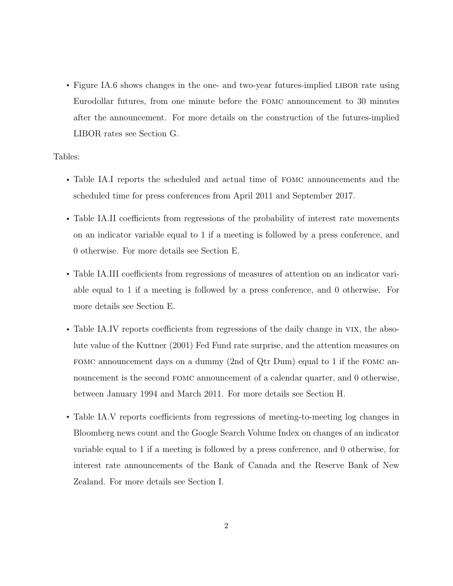• Figure [IA.6](#page-21-0) shows changes in the one- and two-year futures-implied LIBOR rate using Eurodollar futures, from one minute before the fomc announcement to 30 minutes after the announcement. For more details on the construction of the futures-implied LIBOR rates see Section [G.](#page-11-0)

#### Tables:

- Table [IA.I](#page-22-0) reports the scheduled and actual time of fomc announcements and the scheduled time for press conferences from April 2011 and September 2017.
- Table [IA.II](#page-23-0) coefficients from regressions of the probability of interest rate movements on an indicator variable equal to 1 if a meeting is followed by a press conference, and 0 otherwise. For more details see Section [E.](#page-8-0)
- Table [IA.III](#page-24-0) coefficients from regressions of measures of attention on an indicator variable equal to 1 if a meeting is followed by a press conference, and 0 otherwise. For more details see Section [E.](#page-8-0)
- Table [IA.IV](#page-25-0) reports coefficients from regressions of the daily change in VIX, the absolute value of the [Kuttner](#page-15-0) [\(2001\)](#page-15-0) Fed Fund rate surprise, and the attention measures on fomc announcement days on a dummy (2nd of Qtr Dum) equal to 1 if the fomc announcement is the second FOMC announcement of a calendar quarter, and 0 otherwise, between January 1994 and March 2011. For more details see Section [H.](#page-12-0)
- Table [IA.V](#page-26-0) reports coefficients from regressions of meeting-to-meeting log changes in Bloomberg news count and the Google Search Volume Index on changes of an indicator variable equal to 1 if a meeting is followed by a press conference, and 0 otherwise, for interest rate announcements of the Bank of Canada and the Reserve Bank of New Zealand. For more details see Section [I.](#page-13-0)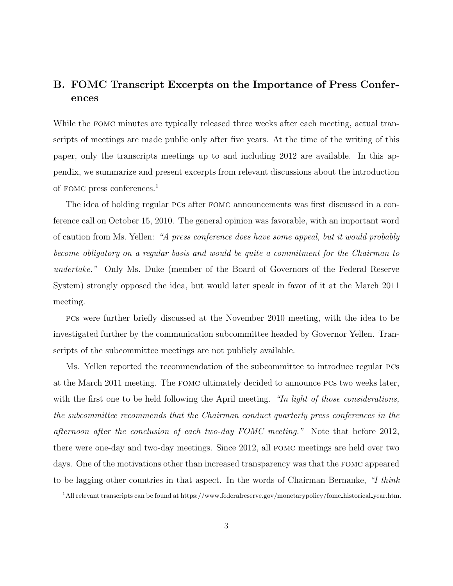# <span id="page-3-0"></span>B. FOMC Transcript Excerpts on the Importance of Press Conferences

While the fomc minutes are typically released three weeks after each meeting, actual transcripts of meetings are made public only after five years. At the time of the writing of this paper, only the transcripts meetings up to and including 2012 are available. In this appendix, we summarize and present excerpts from relevant discussions about the introduction of fomc press conferences.[1](#page-3-1)

The idea of holding regular pcs after fomc announcements was first discussed in a conference call on October 15, 2010. The general opinion was favorable, with an important word of caution from Ms. Yellen: "A press conference does have some appeal, but it would probably become obligatory on a regular basis and would be quite a commitment for the Chairman to undertake." Only Ms. Duke (member of the Board of Governors of the Federal Reserve System) strongly opposed the idea, but would later speak in favor of it at the March 2011 meeting.

pcs were further briefly discussed at the November 2010 meeting, with the idea to be investigated further by the communication subcommittee headed by Governor Yellen. Transcripts of the subcommittee meetings are not publicly available.

Ms. Yellen reported the recommendation of the subcommittee to introduce regular pcs at the March 2011 meeting. The fomc ultimately decided to announce pcs two weeks later, with the first one to be held following the April meeting. "In light of those considerations, the subcommittee recommends that the Chairman conduct quarterly press conferences in the afternoon after the conclusion of each two-day FOMC meeting." Note that before 2012, there were one-day and two-day meetings. Since 2012, all fomc meetings are held over two days. One of the motivations other than increased transparency was that the fomc appeared to be lagging other countries in that aspect. In the words of Chairman Bernanke, "I think

<span id="page-3-1"></span><sup>1</sup>All relevant transcripts can be found at [https://www.federalreserve.gov/monetarypolicy/fomc](https://www.federalreserve.gov/monetarypolicy/fomc_historical_year.htm) historical year.htm.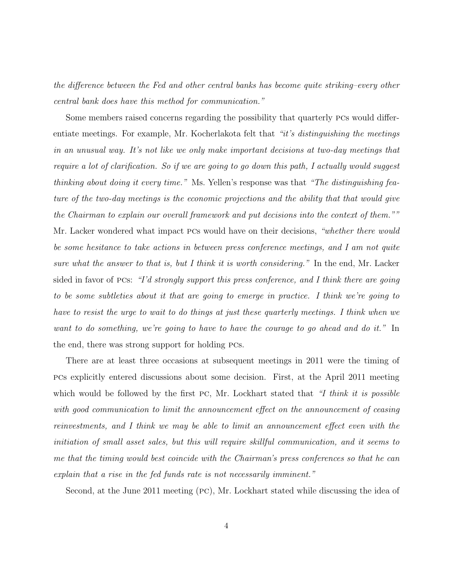the difference between the Fed and other central banks has become quite striking–every other central bank does have this method for communication."

Some members raised concerns regarding the possibility that quarterly pcs would differentiate meetings. For example, Mr. Kocherlakota felt that "it's distinguishing the meetings in an unusual way. It's not like we only make important decisions at two-day meetings that require a lot of clarification. So if we are going to go down this path, I actually would suggest thinking about doing it every time." Ms. Yellen's response was that "The distinguishing feature of the two-day meetings is the economic projections and the ability that that would give the Chairman to explain our overall framework and put decisions into the context of them."" Mr. Lacker wondered what impact PCs would have on their decisions, "whether there would be some hesitance to take actions in between press conference meetings, and I am not quite sure what the answer to that is, but I think it is worth considering." In the end, Mr. Lacker sided in favor of PCs: "I'd strongly support this press conference, and I think there are going to be some subtleties about it that are going to emerge in practice. I think we're going to have to resist the urge to wait to do things at just these quarterly meetings. I think when we want to do something, we're going to have to have the courage to go ahead and do it." In the end, there was strong support for holding pcs.

There are at least three occasions at subsequent meetings in 2011 were the timing of pcs explicitly entered discussions about some decision. First, at the April 2011 meeting which would be followed by the first PC, Mr. Lockhart stated that "I think it is possible with good communication to limit the announcement effect on the announcement of ceasing reinvestments, and I think we may be able to limit an announcement effect even with the initiation of small asset sales, but this will require skillful communication, and it seems to me that the timing would best coincide with the Chairman's press conferences so that he can explain that a rise in the fed funds rate is not necessarily imminent."

Second, at the June 2011 meeting (pc), Mr. Lockhart stated while discussing the idea of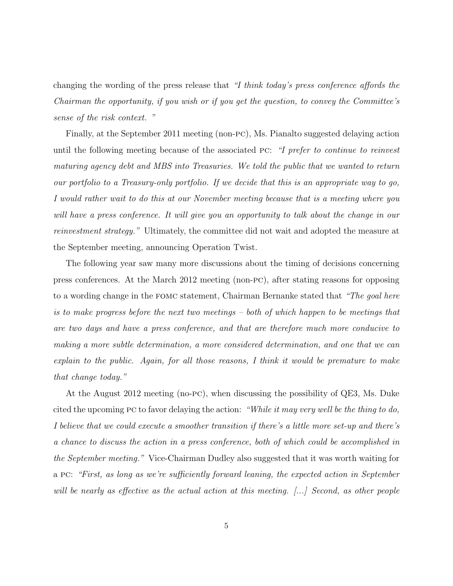changing the wording of the press release that "I think today's press conference affords the Chairman the opportunity, if you wish or if you get the question, to convey the Committee's sense of the risk context. "

Finally, at the September 2011 meeting (non-pc), Ms. Pianalto suggested delaying action until the following meeting because of the associated pc: "I prefer to continue to reinvest maturing agency debt and MBS into Treasuries. We told the public that we wanted to return our portfolio to a Treasury-only portfolio. If we decide that this is an appropriate way to go, I would rather wait to do this at our November meeting because that is a meeting where you will have a press conference. It will give you an opportunity to talk about the change in our reinvestment strategy." Ultimately, the committee did not wait and adopted the measure at the September meeting, announcing Operation Twist.

The following year saw many more discussions about the timing of decisions concerning press conferences. At the March 2012 meeting (non-pc), after stating reasons for opposing to a wording change in the FOMC statement, Chairman Bernanke stated that "The goal here is to make progress before the next two meetings – both of which happen to be meetings that are two days and have a press conference, and that are therefore much more conducive to making a more subtle determination, a more considered determination, and one that we can explain to the public. Again, for all those reasons, I think it would be premature to make that change today."

At the August 2012 meeting (no-pc), when discussing the possibility of QE3, Ms. Duke cited the upcoming PC to favor delaying the action: "While it may very well be the thing to do, I believe that we could execute a smoother transition if there's a little more set-up and there's a chance to discuss the action in a press conference, both of which could be accomplished in the September meeting." Vice-Chairman Dudley also suggested that it was worth waiting for a pc: "First, as long as we're sufficiently forward leaning, the expected action in September will be nearly as effective as the actual action at this meeting. [...] Second, as other people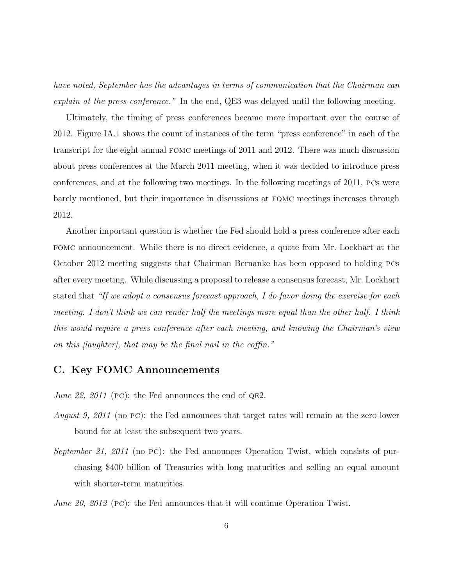have noted, September has the advantages in terms of communication that the Chairman can explain at the press conference." In the end, QE3 was delayed until the following meeting.

Ultimately, the timing of press conferences became more important over the course of 2012. Figure [IA.1](#page-16-1) shows the count of instances of the term "press conference" in each of the transcript for the eight annual fomc meetings of 2011 and 2012. There was much discussion about press conferences at the March 2011 meeting, when it was decided to introduce press conferences, and at the following two meetings. In the following meetings of 2011, pcs were barely mentioned, but their importance in discussions at fomc meetings increases through 2012.

Another important question is whether the Fed should hold a press conference after each fomc announcement. While there is no direct evidence, a quote from Mr. Lockhart at the October 2012 meeting suggests that Chairman Bernanke has been opposed to holding pcs after every meeting. While discussing a proposal to release a consensus forecast, Mr. Lockhart stated that "If we adopt a consensus forecast approach, I do favor doing the exercise for each meeting. I don't think we can render half the meetings more equal than the other half. I think this would require a press conference after each meeting, and knowing the Chairman's view on this [laughter], that may be the final nail in the coffin."

### <span id="page-6-0"></span>C. Key FOMC Announcements

*June 22, 2011* (PC): the Fed announces the end of  $QE2$ .

- August 9, 2011 (no PC): the Fed announces that target rates will remain at the zero lower bound for at least the subsequent two years.
- September 21, 2011 (no PC): the Fed announces Operation Twist, which consists of purchasing \$400 billion of Treasuries with long maturities and selling an equal amount with shorter-term maturities.
- June 20, 2012 (PC): the Fed announces that it will continue Operation Twist.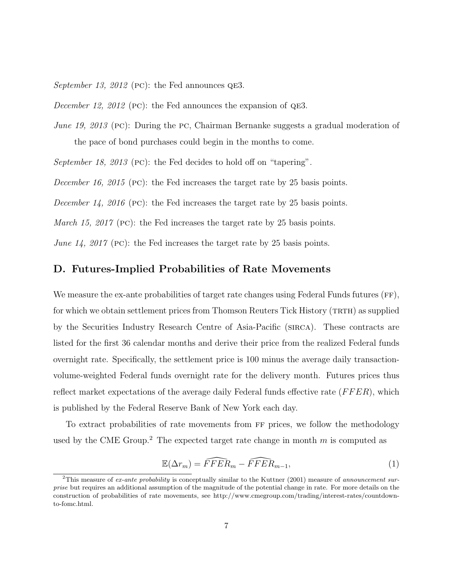September 13, 2012 (PC): the Fed announces QE3.

December 12, 2012 (PC): the Fed announces the expansion of  $QE3$ .

June 19, 2013 (PC): During the PC, Chairman Bernanke suggests a gradual moderation of the pace of bond purchases could begin in the months to come.

September 18, 2013 (PC): the Fed decides to hold off on "tapering".

December 16, 2015 (PC): the Fed increases the target rate by 25 basis points.

December 14, 2016 (PC): the Fed increases the target rate by 25 basis points.

*March 15, 2017* (PC): the Fed increases the target rate by 25 basis points.

June 14, 2017 (PC): the Fed increases the target rate by 25 basis points.

### <span id="page-7-0"></span>D. Futures-Implied Probabilities of Rate Movements

We measure the ex-ante probabilities of target rate changes using Federal Funds futures (FF), for which we obtain settlement prices from Thomson Reuters Tick History (TRTH) as supplied by the Securities Industry Research Centre of Asia-Pacific (sirca). These contracts are listed for the first 36 calendar months and derive their price from the realized Federal funds overnight rate. Specifically, the settlement price is 100 minus the average daily transactionvolume-weighted Federal funds overnight rate for the delivery month. Futures prices thus reflect market expectations of the average daily Federal funds effective rate  $(FFER)$ , which is published by the Federal Reserve Bank of New York each day.

To extract probabilities of rate movements from ff prices, we follow the methodology used by the CME Group.<sup>[2](#page-7-1)</sup> The expected target rate change in month  $m$  is computed as

$$
\mathbb{E}(\Delta r_m) = \widehat{FFER}_m - \widehat{FFER}_{m-1},\tag{1}
$$

<span id="page-7-1"></span><sup>&</sup>lt;sup>2</sup>This measure of ex-ante probability is conceptually similar to the [Kuttner](#page-15-0) [\(2001\)](#page-15-0) measure of announcement surprise but requires an additional assumption of the magnitude of the potential change in rate. For more details on the construction of probabilities of rate movements, see http://www.cmegroup.com/trading/interest-rates/countdownto-fomc.html.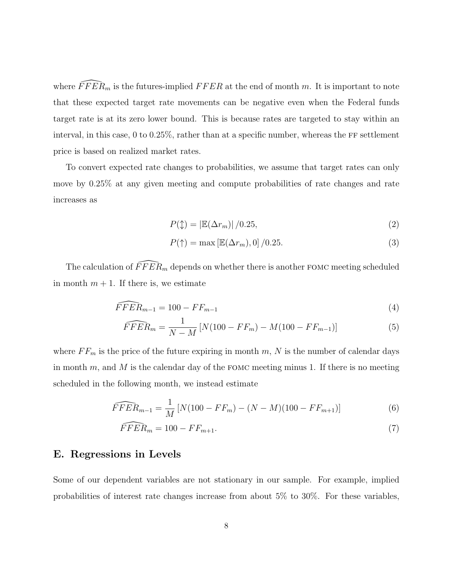where  $\widehat{FFER}_m$  is the futures-implied  $FFER$  at the end of month m. It is important to note that these expected target rate movements can be negative even when the Federal funds target rate is at its zero lower bound. This is because rates are targeted to stay within an interval, in this case,  $0 \text{ to } 0.25\%$ , rather than at a specific number, whereas the FF settlement price is based on realized market rates.

To convert expected rate changes to probabilities, we assume that target rates can only move by 0.25% at any given meeting and compute probabilities of rate changes and rate increases as

$$
P(\updownarrow) = |\mathbb{E}(\Delta r_m)| / 0.25,\tag{2}
$$

$$
P(\uparrow) = \max \left[ \mathbb{E}(\Delta r_m), 0 \right] / 0.25. \tag{3}
$$

The calculation of  $\widehat{FFER}_m$  depends on whether there is another FOMC meeting scheduled in month  $m + 1$ . If there is, we estimate

$$
\widehat{FFER}_{m-1} = 100 - FF_{m-1} \tag{4}
$$

$$
\widehat{FFER}_m = \frac{1}{N-M} \left[ N(100 - FF_m) - M(100 - FF_{m-1}) \right] \tag{5}
$$

where  $FF_m$  is the price of the future expiring in month m, N is the number of calendar days in month  $m$ , and  $M$  is the calendar day of the FOMC meeting minus 1. If there is no meeting scheduled in the following month, we instead estimate

$$
\widehat{FFER}_{m-1} = \frac{1}{M} \left[ N(100 - FF_m) - (N - M)(100 - FF_{m+1}) \right] \tag{6}
$$

$$
\widehat{FFER}_m = 100 - FF_{m+1}.\tag{7}
$$

### <span id="page-8-0"></span>E. Regressions in Levels

Some of our dependent variables are not stationary in our sample. For example, implied probabilities of interest rate changes increase from about 5% to 30%. For these variables,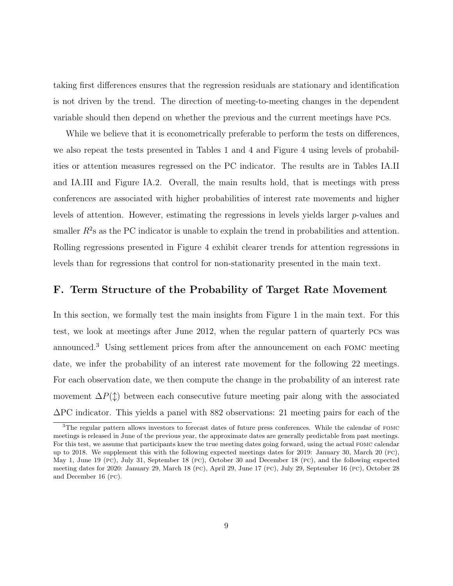taking first differences ensures that the regression residuals are stationary and identification is not driven by the trend. The direction of meeting-to-meeting changes in the dependent variable should then depend on whether the previous and the current meetings have pcs.

While we believe that it is econometrically preferable to perform the tests on differences, we also repeat the tests presented in Tables [1](#page-0-0) and [4](#page-0-0) and Figure [4](#page-19-0) using levels of probabilities or attention measures regressed on the PC indicator. The results are in Tables [IA.II](#page-23-0) and [IA.III](#page-24-0) and Figure [IA.2.](#page-17-0) Overall, the main results hold, that is meetings with press conferences are associated with higher probabilities of interest rate movements and higher levels of attention. However, estimating the regressions in levels yields larger  $p$ -values and smaller  $R^2$ s as the PC indicator is unable to explain the trend in probabilities and attention. Rolling regressions presented in Figure [4](#page-19-0) exhibit clearer trends for attention regressions in levels than for regressions that control for non-stationarity presented in the main text.

### <span id="page-9-0"></span>F. Term Structure of the Probability of Target Rate Movement

In this section, we formally test the main insights from Figure [1](#page-16-1) in the main text. For this test, we look at meetings after June 2012, when the regular pattern of quarterly pcs was announced.[3](#page-9-1) Using settlement prices from after the announcement on each fomc meeting date, we infer the probability of an interest rate movement for the following 22 meetings. For each observation date, we then compute the change in the probability of an interest rate movement  $\Delta P(\uparrow)$  between each consecutive future meeting pair along with the associated ∆PC indicator. This yields a panel with 882 observations: 21 meeting pairs for each of the

<span id="page-9-1"></span><sup>3</sup>The regular pattern allows investors to forecast dates of future press conferences. While the calendar of fomc meetings is released in June of the previous year, the approximate dates are generally predictable from past meetings. For this test, we assume that participants knew the true meeting dates going forward, using the actual fomc calendar up to 2018. We supplement this with the following expected meetings dates for 2019: January 30, March 20 (pc), May 1, June 19 (pc), July 31, September 18 (pc), October 30 and December 18 (pc), and the following expected meeting dates for 2020: January 29, March 18 (pc), April 29, June 17 (pc), July 29, September 16 (pc), October 28 and December 16 (pc).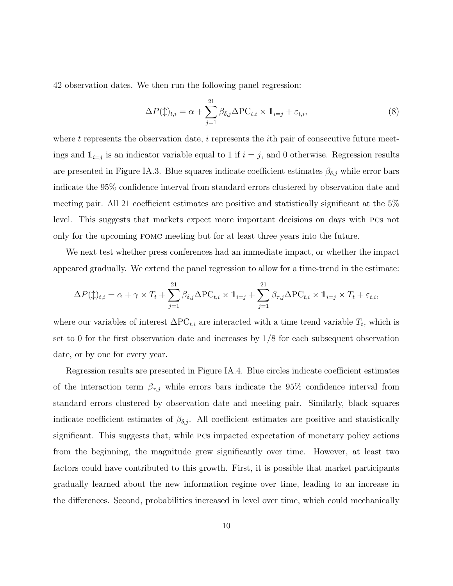42 observation dates. We then run the following panel regression:

$$
\Delta P(\updownarrow)_{t,i} = \alpha + \sum_{j=1}^{21} \beta_{\delta,j} \Delta \text{PC}_{t,i} \times \mathbb{1}_{i=j} + \varepsilon_{t,i},\tag{8}
$$

where t represents the observation date,  $i$  represents the *i*th pair of consecutive future meetings and  $\mathbb{1}_{i=j}$  is an indicator variable equal to 1 if  $i=j$ , and 0 otherwise. Regression results are presented in Figure [IA.3.](#page-18-0) Blue squares indicate coefficient estimates  $\beta_{\delta,j}$  while error bars indicate the 95% confidence interval from standard errors clustered by observation date and meeting pair. All 21 coefficient estimates are positive and statistically significant at the 5% level. This suggests that markets expect more important decisions on days with pcs not only for the upcoming fomc meeting but for at least three years into the future.

We next test whether press conferences had an immediate impact, or whether the impact appeared gradually. We extend the panel regression to allow for a time-trend in the estimate:

$$
\Delta P(\updownarrow)_{t,i} = \alpha + \gamma \times T_t + \sum_{j=1}^{21} \beta_{\delta,j} \Delta \text{PC}_{t,i} \times \mathbb{1}_{i=j} + \sum_{j=1}^{21} \beta_{\tau,j} \Delta \text{PC}_{t,i} \times \mathbb{1}_{i=j} \times T_t + \varepsilon_{t,i},
$$

where our variables of interest  $\Delta PC_{t,i}$  are interacted with a time trend variable  $T_t$ , which is set to 0 for the first observation date and increases by 1/8 for each subsequent observation date, or by one for every year.

Regression results are presented in Figure [IA.4.](#page-19-0) Blue circles indicate coefficient estimates of the interaction term  $\beta_{\tau,j}$  while errors bars indicate the 95% confidence interval from standard errors clustered by observation date and meeting pair. Similarly, black squares indicate coefficient estimates of  $\beta_{\delta,j}$ . All coefficient estimates are positive and statistically significant. This suggests that, while pcs impacted expectation of monetary policy actions from the beginning, the magnitude grew significantly over time. However, at least two factors could have contributed to this growth. First, it is possible that market participants gradually learned about the new information regime over time, leading to an increase in the differences. Second, probabilities increased in level over time, which could mechanically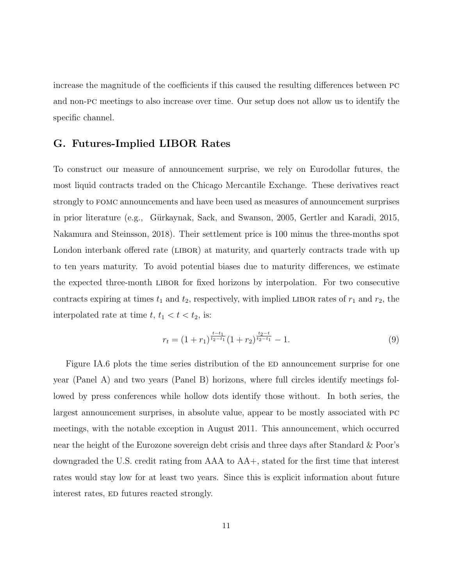increase the magnitude of the coefficients if this caused the resulting differences between pc and non-pc meetings to also increase over time. Our setup does not allow us to identify the specific channel.

## <span id="page-11-0"></span>G. Futures-Implied LIBOR Rates

To construct our measure of announcement surprise, we rely on Eurodollar futures, the most liquid contracts traded on the Chicago Mercantile Exchange. These derivatives react strongly to fomc announcements and have been used as measures of announcement surprises in prior literature (e.g., Gürkaynak, Sack, and Swanson, 2005, [Gertler and Karadi, 2015,](#page-15-2) [Nakamura and Steinsson, 2018\)](#page-15-3). Their settlement price is 100 minus the three-months spot London interbank offered rate (LIBOR) at maturity, and quarterly contracts trade with up to ten years maturity. To avoid potential biases due to maturity differences, we estimate the expected three-month libor for fixed horizons by interpolation. For two consecutive contracts expiring at times  $t_1$  and  $t_2$ , respectively, with implied LIBOR rates of  $r_1$  and  $r_2$ , the interpolated rate at time  $t, t_1 < t < t_2$ , is:

$$
r_t = (1+r_1)^{\frac{t-t_1}{t_2-t_1}}(1+r_2)^{\frac{t_2-t}{t_2-t_1}} - 1.
$$
\n(9)

Figure [IA.6](#page-21-0) plots the time series distribution of the ED announcement surprise for one year (Panel A) and two years (Panel B) horizons, where full circles identify meetings followed by press conferences while hollow dots identify those without. In both series, the largest announcement surprises, in absolute value, appear to be mostly associated with pc meetings, with the notable exception in August 2011. This announcement, which occurred near the height of the Eurozone sovereign debt crisis and three days after Standard & Poor's downgraded the U.S. credit rating from AAA to AA+, stated for the first time that interest rates would stay low for at least two years. Since this is explicit information about future interest rates, ED futures reacted strongly.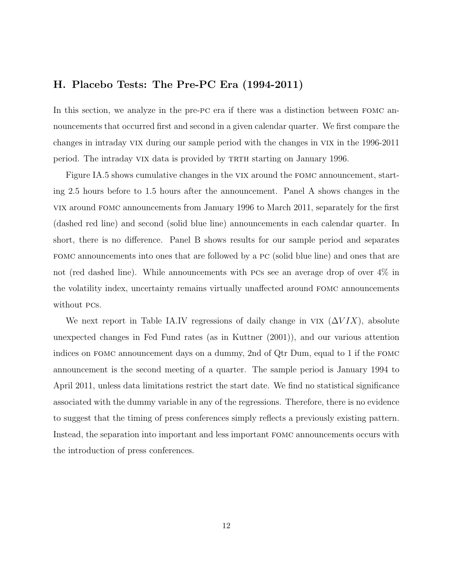### <span id="page-12-0"></span>H. Placebo Tests: The Pre-PC Era (1994-2011)

In this section, we analyze in the pre-pc era if there was a distinction between fomc announcements that occurred first and second in a given calendar quarter. We first compare the changes in intraday vix during our sample period with the changes in vix in the 1996-2011 period. The intraday VIX data is provided by TRTH starting on January 1996.

Figure [IA.5](#page-20-0) shows cumulative changes in the vix around the fomc announcement, starting 2.5 hours before to 1.5 hours after the announcement. Panel A shows changes in the vix around fomc announcements from January 1996 to March 2011, separately for the first (dashed red line) and second (solid blue line) announcements in each calendar quarter. In short, there is no difference. Panel B shows results for our sample period and separates fomc announcements into ones that are followed by a pc (solid blue line) and ones that are not (red dashed line). While announcements with pcs see an average drop of over 4% in the volatility index, uncertainty remains virtually unaffected around fomc announcements without pcs.

We next report in Table [IA.IV](#page-25-0) regressions of daily change in VIX  $(\Delta VIX)$ , absolute unexpected changes in Fed Fund rates (as in [Kuttner](#page-15-0) [\(2001\)](#page-15-0)), and our various attention indices on fomc announcement days on a dummy, 2nd of Qtr Dum, equal to 1 if the fomc announcement is the second meeting of a quarter. The sample period is January 1994 to April 2011, unless data limitations restrict the start date. We find no statistical significance associated with the dummy variable in any of the regressions. Therefore, there is no evidence to suggest that the timing of press conferences simply reflects a previously existing pattern. Instead, the separation into important and less important fomc announcements occurs with the introduction of press conferences.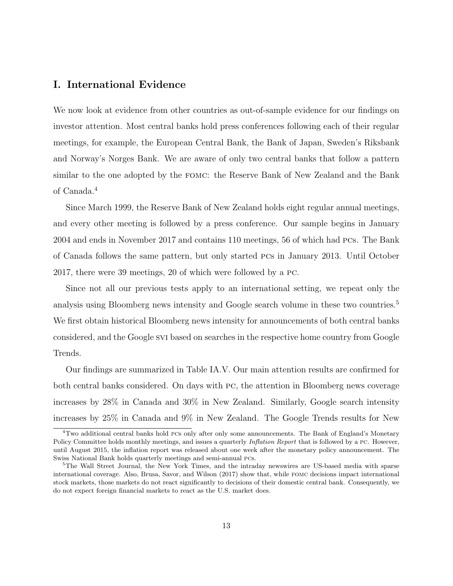### <span id="page-13-0"></span>I. International Evidence

We now look at evidence from other countries as out-of-sample evidence for our findings on investor attention. Most central banks hold press conferences following each of their regular meetings, for example, the European Central Bank, the Bank of Japan, Sweden's Riksbank and Norway's Norges Bank. We are aware of only two central banks that follow a pattern similar to the one adopted by the fomc: the Reserve Bank of New Zealand and the Bank of Canada.[4](#page-13-1)

Since March 1999, the Reserve Bank of New Zealand holds eight regular annual meetings, and every other meeting is followed by a press conference. Our sample begins in January 2004 and ends in November 2017 and contains 110 meetings, 56 of which had pcs. The Bank of Canada follows the same pattern, but only started pcs in January 2013. Until October 2017, there were 39 meetings, 20 of which were followed by a pc.

Since not all our previous tests apply to an international setting, we repeat only the analysis using Bloomberg news intensity and Google search volume in these two countries.<sup>[5](#page-13-2)</sup> We first obtain historical Bloomberg news intensity for announcements of both central banks considered, and the Google svi based on searches in the respective home country from Google Trends.

Our findings are summarized in Table [IA.V.](#page-26-0) Our main attention results are confirmed for both central banks considered. On days with pc, the attention in Bloomberg news coverage increases by 28% in Canada and 30% in New Zealand. Similarly, Google search intensity increases by 25% in Canada and 9% in New Zealand. The Google Trends results for New

<span id="page-13-1"></span><sup>4</sup>Two additional central banks hold pcs only after only some announcements. The Bank of England's Monetary Policy Committee holds monthly meetings, and issues a quarterly *Inflation Report* that is followed by a PC. However, until August 2015, the inflation report was released about one week after the monetary policy announcement. The Swiss National Bank holds quarterly meetings and semi-annual pcs.

<span id="page-13-2"></span><sup>5</sup>The Wall Street Journal, the New York Times, and the intraday newswires are US-based media with sparse international coverage. Also, [Brusa, Savor, and Wilson](#page-15-4) [\(2017\)](#page-15-4) show that, while fomc decisions impact international stock markets, those markets do not react significantly to decisions of their domestic central bank. Consequently, we do not expect foreign financial markets to react as the U.S. market does.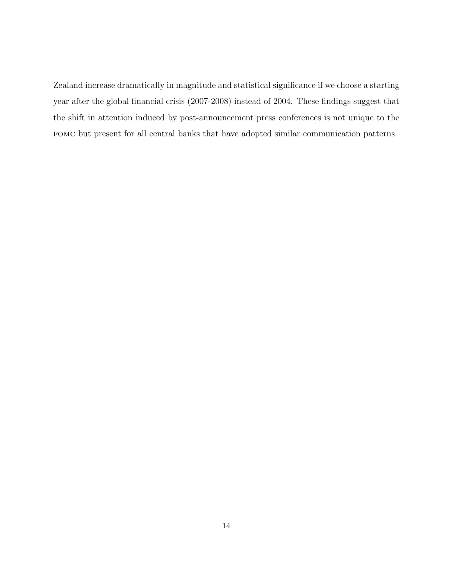Zealand increase dramatically in magnitude and statistical significance if we choose a starting year after the global financial crisis (2007-2008) instead of 2004. These findings suggest that the shift in attention induced by post-announcement press conferences is not unique to the fomc but present for all central banks that have adopted similar communication patterns.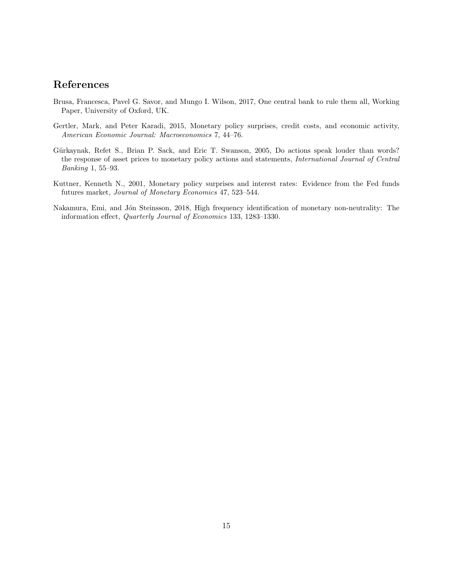# References

- <span id="page-15-4"></span>Brusa, Francesca, Pavel G. Savor, and Mungo I. Wilson, 2017, One central bank to rule them all, Working Paper, University of Oxford, UK.
- <span id="page-15-2"></span>Gertler, Mark, and Peter Karadi, 2015, Monetary policy surprises, credit costs, and economic activity, American Economic Journal: Macroeconomics 7, 44–76.
- <span id="page-15-1"></span>Gürkaynak, Refet S., Brian P. Sack, and Eric T. Swanson, 2005, Do actions speak louder than words? the response of asset prices to monetary policy actions and statements, International Journal of Central Banking 1, 55–93.
- <span id="page-15-0"></span>Kuttner, Kenneth N., 2001, Monetary policy surprises and interest rates: Evidence from the Fed funds futures market, Journal of Monetary Economics 47, 523–544.
- <span id="page-15-3"></span>Nakamura, Emi, and Jón Steinsson, 2018, High frequency identification of monetary non-neutrality: The information effect, Quarterly Journal of Economics 133, 1283–1330.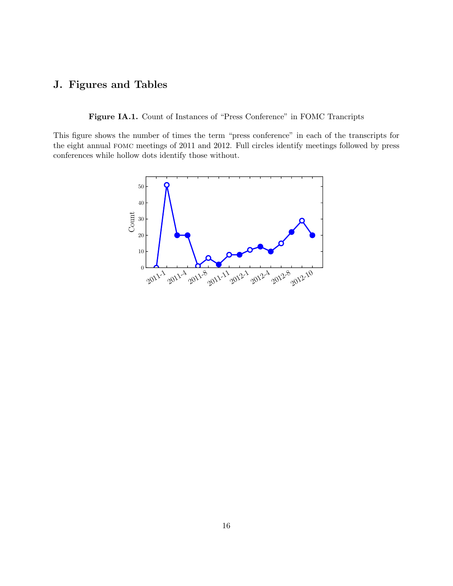# <span id="page-16-1"></span><span id="page-16-0"></span>J. Figures and Tables

Figure IA.1. Count of Instances of "Press Conference" in FOMC Trancripts

This figure shows the number of times the term "press conference" in each of the transcripts for the eight annual fomc meetings of 2011 and 2012. Full circles identify meetings followed by press conferences while hollow dots identify those without.

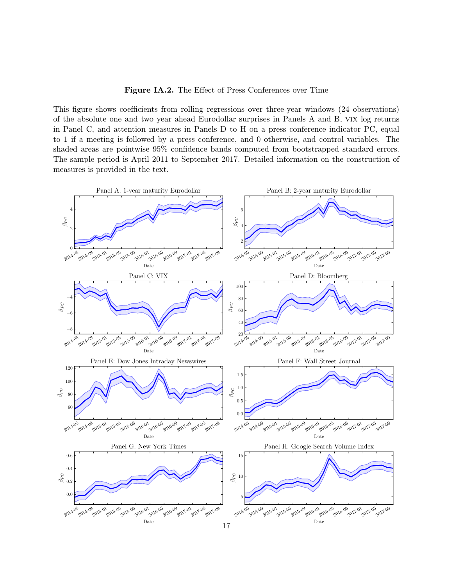Figure IA.2. The Effect of Press Conferences over Time

<span id="page-17-0"></span>This figure shows coefficients from rolling regressions over three-year windows (24 observations) of the absolute one and two year ahead Eurodollar surprises in Panels A and B, vix log returns in Panel C, and attention measures in Panels D to H on a press conference indicator PC, equal to 1 if a meeting is followed by a press conference, and 0 otherwise, and control variables. The shaded areas are pointwise 95% confidence bands computed from bootstrapped standard errors. The sample period is April 2011 to September 2017. Detailed information on the construction of measures is provided in the text.

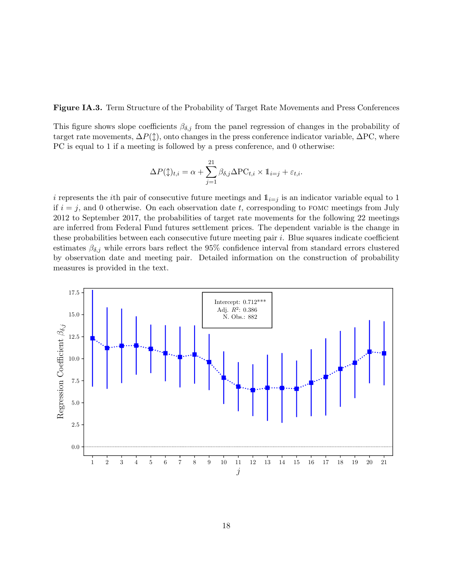<span id="page-18-0"></span>Figure IA.3. Term Structure of the Probability of Target Rate Movements and Press Conferences

This figure shows slope coefficients  $\beta_{\delta,j}$  from the panel regression of changes in the probability of target rate movements,  $\Delta P(\updownarrow)$ , onto changes in the press conference indicator variable,  $\Delta PC$ , where PC is equal to 1 if a meeting is followed by a press conference, and 0 otherwise:

$$
\Delta P(\updownarrow)_{t,i} = \alpha + \sum_{j=1}^{21} \beta_{\delta,j} \Delta \text{PC}_{t,i} \times \mathbb{1}_{i=j} + \varepsilon_{t,i}.
$$

i represents the ith pair of consecutive future meetings and  $\mathbb{1}_{i=j}$  is an indicator variable equal to 1 if  $i = j$ , and 0 otherwise. On each observation date t, corresponding to FOMC meetings from July 2012 to September 2017, the probabilities of target rate movements for the following 22 meetings are inferred from Federal Fund futures settlement prices. The dependent variable is the change in these probabilities between each consecutive future meeting pair  $i$ . Blue squares indicate coefficient estimates  $\beta_{\delta,j}$  while errors bars reflect the 95% confidence interval from standard errors clustered by observation date and meeting pair. Detailed information on the construction of probability measures is provided in the text.

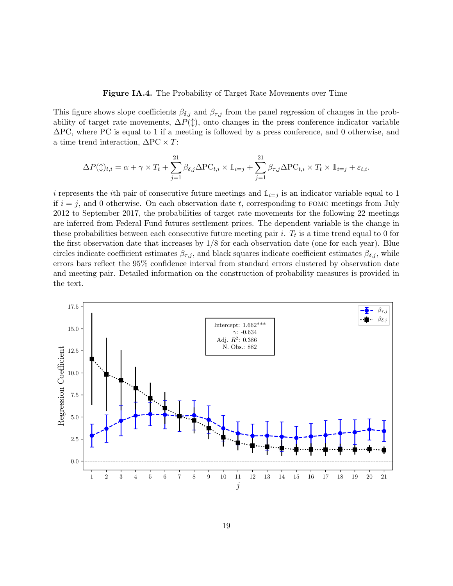#### **Figure IA.4.** The Probability of Target Rate Movements over Time

<span id="page-19-0"></span>This figure shows slope coefficients  $\beta_{\delta,j}$  and  $\beta_{\tau,j}$  from the panel regression of changes in the probability of target rate movements,  $\Delta P(\updownarrow)$ , onto changes in the press conference indicator variable ∆PC, where PC is equal to 1 if a meeting is followed by a press conference, and 0 otherwise, and a time trend interaction,  $\Delta PC \times T$ :

$$
\Delta P(\updownarrow)_{t,i} = \alpha + \gamma \times T_t + \sum_{j=1}^{21} \beta_{\delta,j} \Delta \text{PC}_{t,i} \times \mathbb{1}_{i=j} + \sum_{j=1}^{21} \beta_{\tau,j} \Delta \text{PC}_{t,i} \times T_t \times \mathbb{1}_{i=j} + \varepsilon_{t,i}.
$$

i represents the *i*th pair of consecutive future meetings and  $\mathbb{1}_{i=j}$  is an indicator variable equal to 1 if  $i = j$ , and 0 otherwise. On each observation date t, corresponding to FOMC meetings from July 2012 to September 2017, the probabilities of target rate movements for the following 22 meetings are inferred from Federal Fund futures settlement prices. The dependent variable is the change in these probabilities between each consecutive future meeting pair *i*.  $T_t$  is a time trend equal to 0 for the first observation date that increases by  $1/8$  for each observation date (one for each year). Blue circles indicate coefficient estimates  $\beta_{\tau,j}$ , and black squares indicate coefficient estimates  $\beta_{\delta,j}$ , while errors bars reflect the 95% confidence interval from standard errors clustered by observation date and meeting pair. Detailed information on the construction of probability measures is provided in the text.

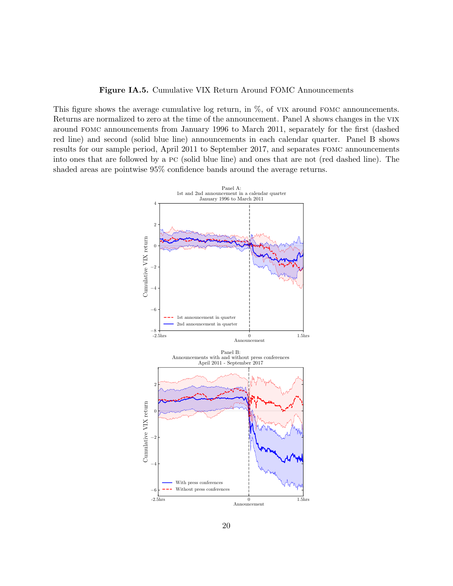Figure IA.5. Cumulative VIX Return Around FOMC Announcements

<span id="page-20-0"></span>This figure shows the average cumulative log return, in  $\%$ , of VIX around FOMC announcements. Returns are normalized to zero at the time of the announcement. Panel A shows changes in the vix around fomc announcements from January 1996 to March 2011, separately for the first (dashed red line) and second (solid blue line) announcements in each calendar quarter. Panel B shows results for our sample period, April 2011 to September 2017, and separates fomc announcements into ones that are followed by a pc (solid blue line) and ones that are not (red dashed line). The shaded areas are pointwise 95% confidence bands around the average returns.

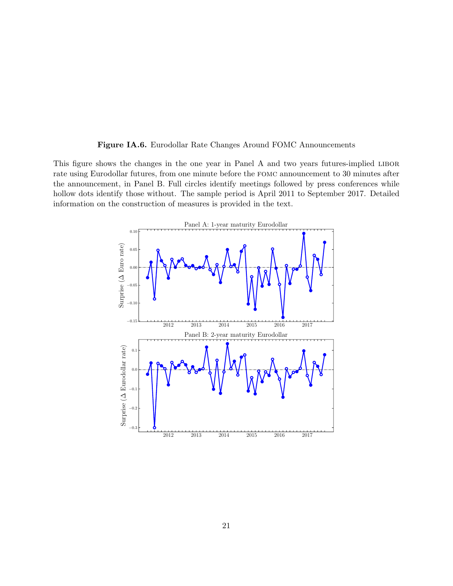

<span id="page-21-0"></span>This figure shows the changes in the one year in Panel A and two years futures-implied LIBOR rate using Eurodollar futures, from one minute before the fomc announcement to 30 minutes after the announcement, in Panel B. Full circles identify meetings followed by press conferences while hollow dots identify those without. The sample period is April 2011 to September 2017. Detailed information on the construction of measures is provided in the text.

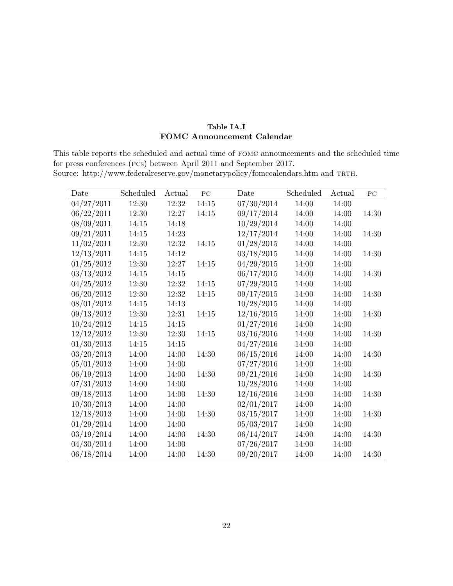### Table IA.I FOMC Announcement Calendar

<span id="page-22-0"></span>This table reports the scheduled and actual time of fomc announcements and the scheduled time for press conferences (pcs) between April 2011 and September 2017. Source: http://www.federalreserve.gov/monetarypolicy/fomccalendars.htm and TRTH.

| Date       | Scheduled | Actual | PC    | Date       | Scheduled | Actual | PC    |
|------------|-----------|--------|-------|------------|-----------|--------|-------|
| 04/27/2011 | 12:30     | 12:32  | 14:15 | 07/30/2014 | 14:00     | 14:00  |       |
| 06/22/2011 | 12:30     | 12:27  | 14:15 | 09/17/2014 | 14:00     | 14:00  | 14:30 |
| 08/09/2011 | 14:15     | 14:18  |       | 10/29/2014 | 14:00     | 14:00  |       |
| 09/21/2011 | 14:15     | 14:23  |       | 12/17/2014 | 14:00     | 14:00  | 14:30 |
| 11/02/2011 | 12:30     | 12:32  | 14:15 | 01/28/2015 | 14:00     | 14:00  |       |
| 12/13/2011 | 14:15     | 14:12  |       | 03/18/2015 | 14:00     | 14:00  | 14:30 |
| 01/25/2012 | 12:30     | 12:27  | 14:15 | 04/29/2015 | 14:00     | 14:00  |       |
| 03/13/2012 | 14:15     | 14:15  |       | 06/17/2015 | 14:00     | 14:00  | 14:30 |
| 04/25/2012 | 12:30     | 12:32  | 14:15 | 07/29/2015 | 14:00     | 14:00  |       |
| 06/20/2012 | 12:30     | 12:32  | 14:15 | 09/17/2015 | 14:00     | 14:00  | 14:30 |
| 08/01/2012 | 14:15     | 14:13  |       | 10/28/2015 | 14:00     | 14:00  |       |
| 09/13/2012 | 12:30     | 12:31  | 14:15 | 12/16/2015 | 14:00     | 14:00  | 14:30 |
| 10/24/2012 | 14:15     | 14:15  |       | 01/27/2016 | 14:00     | 14:00  |       |
| 12/12/2012 | 12:30     | 12:30  | 14:15 | 03/16/2016 | 14:00     | 14:00  | 14:30 |
| 01/30/2013 | 14:15     | 14:15  |       | 04/27/2016 | 14:00     | 14:00  |       |
| 03/20/2013 | 14:00     | 14:00  | 14:30 | 06/15/2016 | 14:00     | 14:00  | 14:30 |
| 05/01/2013 | 14:00     | 14:00  |       | 07/27/2016 | 14:00     | 14:00  |       |
| 06/19/2013 | 14:00     | 14:00  | 14:30 | 09/21/2016 | 14:00     | 14:00  | 14:30 |
| 07/31/2013 | 14:00     | 14:00  |       | 10/28/2016 | 14:00     | 14:00  |       |
| 09/18/2013 | 14:00     | 14:00  | 14:30 | 12/16/2016 | 14:00     | 14:00  | 14:30 |
| 10/30/2013 | 14:00     | 14:00  |       | 02/01/2017 | 14:00     | 14:00  |       |
| 12/18/2013 | 14:00     | 14:00  | 14:30 | 03/15/2017 | 14:00     | 14:00  | 14:30 |
| 01/29/2014 | 14:00     | 14:00  |       | 05/03/2017 | 14:00     | 14:00  |       |
| 03/19/2014 | 14:00     | 14:00  | 14:30 | 06/14/2017 | 14:00     | 14:00  | 14:30 |
| 04/30/2014 | 14:00     | 14:00  |       | 07/26/2017 | 14:00     | 14:00  |       |
| 06/18/2014 | 14:00     | 14:00  | 14:30 | 09/20/2017 | 14:00     | 14:00  | 14:30 |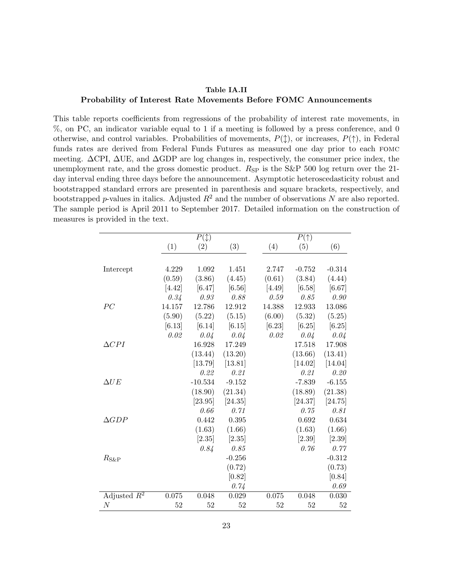#### Table IA.II

#### <span id="page-23-0"></span>Probability of Interest Rate Movements Before FOMC Announcements

This table reports coefficients from regressions of the probability of interest rate movements, in %, on PC, an indicator variable equal to 1 if a meeting is followed by a press conference, and 0 otherwise, and control variables. Probabilities of movements,  $P(\uparrow)$ , or increases,  $P(\uparrow)$ , in Federal funds rates are derived from Federal Funds Futures as measured one day prior to each fomc meeting. ∆CPI, ∆UE, and ∆GDP are log changes in, respectively, the consumer price index, the unemployment rate, and the gross domestic product.  $R_{SP}$  is the S&P 500 log return over the 21day interval ending three days before the announcement. Asymptotic heteroscedasticity robust and bootstrapped standard errors are presented in parenthesis and square brackets, respectively, and bootstrapped p-values in italics. Adjusted  $R^2$  and the number of observations N are also reported. The sample period is April 2011 to September 2017. Detailed information on the construction of measures is provided in the text.

|                 |          | $P(\updownarrow)$ |          |        | $P(\uparrow)$ |          |
|-----------------|----------|-------------------|----------|--------|---------------|----------|
|                 | (1)      | (2)               | (3)      | (4)    | (5)           | (6)      |
|                 |          |                   |          |        |               |          |
| Intercept       | 4.229    | 1.092             | 1.451    | 2.747  | $-0.752$      | $-0.314$ |
|                 | (0.59)   | (3.86)            | (4.45)   | (0.61) | (3.84)        | (4.44)   |
|                 | $[4.42]$ | [6.47]            | [6.56]   | [4.49] | [6.58]        | [6.67]   |
|                 | 0.34     | 0.93              | 0.88     | 0.59   | 0.85          | 0.90     |
| PC              | 14.157   | 12.786            | 12.912   | 14.388 | 12.933        | 13.086   |
|                 | (5.90)   | (5.22)            | (5.15)   | (6.00) | (5.32)        | (5.25)   |
|                 | [6.13]   | [6.14]            | [6.15]   | [6.23] | [6.25]        | [6.25]   |
|                 | 0.02     | 0.04              | 0.04     | 0.02   | 0.04          | 0.04     |
| $\Delta CPI$    |          | 16.928            | 17.249   |        | 17.518        | 17.908   |
|                 |          | (13.44)           | (13.20)  |        | (13.66)       | (13.41)  |
|                 |          | [13.79]           | [13.81]  |        | [14.02]       | [14.04]  |
|                 |          | 0.22              | 0.21     |        | 0.21          | 0.20     |
| $\Delta UE$     |          | $-10.534$         | $-9.152$ |        | $-7.839$      | $-6.155$ |
|                 |          | (18.90)           | (21.34)  |        | (18.89)       | (21.38)  |
|                 |          | [23.95]           | [24.35]  |        | [24.37]       | [24.75]  |
|                 |          | 0.66              | 0.71     |        | 0.75          | 0.81     |
| $\triangle GDP$ |          | 0.442             | 0.395    |        | 0.692         | 0.634    |
|                 |          | (1.63)            | (1.66)   |        | (1.63)        | (1.66)   |
|                 |          | $[2.35]$          | [2.35]   |        | [2.39]        | [2.39]   |
|                 |          | 0.84              | 0.85     |        | 0.76          | 0.77     |
| $R_{S\&P}$      |          |                   | $-0.256$ |        |               | $-0.312$ |
|                 |          |                   | (0.72)   |        |               | (0.73)   |
|                 |          |                   | [0.82]   |        |               | [0.84]   |
|                 |          |                   | 0.74     |        |               | $0.69\,$ |
| Adjusted $R^2$  | 0.075    | 0.048             | 0.029    | 0.075  | 0.048         | 0.030    |
| $\cal N$        | 52       | 52                | 52       | 52     | 52            | 52       |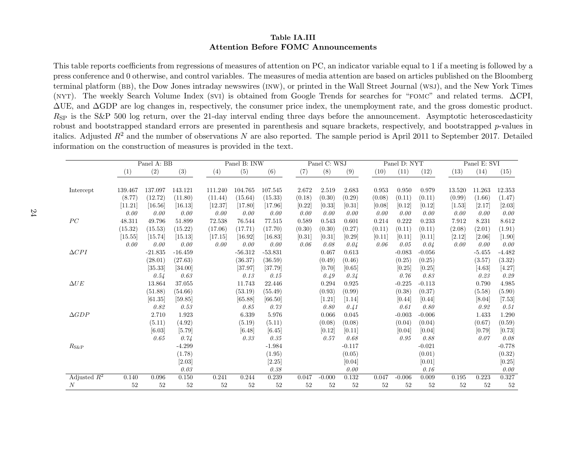#### Table IA.IIIAttention Before FOMC Announcements

This table reports coefficients from regressions of measures of attention on PC, an indicator variable equal to 1 if <sup>a</sup> meeting is followed by <sup>a</sup> press conference and 0 otherwise, and control variables. The measures of media attention are based on articles published on the Bloomberg terminal <sup>p</sup>latform (bb), the Dow Jones intraday newswires (inw), or printed in the Wall Street Journal (wsj), and the New York Times (nyt). The weekly Search Volume Index (svi) is obtained from Google Trends for searches for "fomc" and related terms. ∆CPI, ∆UE, and ∆GDP are log changes in, respectively, the consumer price index, the unemployment rate, and the gross domestic product. $R_{\rm SP}$  is the S&P 500 log return, over the 21-day interval ending three days before the announcement. Asymptotic heteroscedasticity robust and bootstrapped standard errors are presented in parenthesis and square brackets, respectively, and bootstrapped p-values in italics. Adjusted  $R^2$  and the number of observations N are also reported. The sample period is April 2011 to September 2017. Detailed information on the construction of measures is provided in the text.

<span id="page-24-0"></span>

|                  |         | Panel A: BB |                      |         | Panel B: INW |           |        | Panel C: WSJ |          |        | Panel D: NYT |          |        | Panel E: SVI |                  |
|------------------|---------|-------------|----------------------|---------|--------------|-----------|--------|--------------|----------|--------|--------------|----------|--------|--------------|------------------|
|                  | (1)     | (2)         | (3)                  | (4)     | (5)          | (6)       | (7)    | (8)          | (9)      | (10)   | (11)         | (12)     | (13)   | (14)         | (15)             |
|                  | 139.467 | 137.097     | 143.121              | 111.240 | 104.765      | 107.545   | 2.672  | 2.519        | 2.683    | 0.953  | 0.950        | 0.979    | 13.520 | 11.263       | 12.353           |
| Intercept        | (8.77)  | (12.72)     | (11.80)              | (11.44) | (15.64)      | (15.33)   | (0.18) | (0.30)       | (0.29)   | (0.08) | (0.11)       | (0.11)   | (0.99) | (1.66)       | (1.47)           |
|                  | [11.21] | [16.56]     | $\left[16.13\right]$ | [12.37] | [17.80]      | [17.96]   | [0.22] | [0.33]       | [0.31]   | [0.08] | [0.12]       | [0.12]   | [1.53] | [2.17]       |                  |
|                  | 0.00    | 0.00        | 0.00                 | 0.00    | 0.00         | 0.00      | 0.00   | 0.00         | 0.00     | 0.00   | 0.00         | 0.00     | 0.00   | 0.00         | $[2.03]$<br>0.00 |
| PC               | 48.311  | 49.796      | 51.899               | 72.538  | 76.544       | 77.515    | 0.589  | 0.543        | 0.601    | 0.214  | 0.222        | 0.233    | 7.912  | 8.231        | 8.612            |
|                  | (15.32) | (15.53)     | (15.22)              | (17.06) | (17.71)      | (17.70)   | (0.30) | (0.30)       | (0.27)   | (0.11) | (0.11)       | (0.11)   | (2.08) | (2.01)       | (1.91)           |
|                  | [15.55] | [15.74]     | [15.13]              | [17.15] | $[16.92]$    | [16.83]   | [0.31] | [0.31]       | $[0.29]$ | [0.11] | [0.11]       | [0.11]   | [2.12] | $[2.06]$     | $[1.90]$         |
|                  | 0.00    | 0.00        | 0.00                 | 0.00    | 0.00         | 0.00      | 0.06   | 0.08         | 0.04     | 0.06   | 0.05         | 0.04     | 0.00   | 0.00         | 0.00             |
| $\Delta CPI$     |         | $-21.835$   | $-16.459$            |         | $-56.312$    | $-53.831$ |        | 0.467        | 0.613    |        | $-0.083$     | $-0.056$ |        | $-5.455$     | $-4.482$         |
|                  |         | (28.01)     | (27.63)              |         | (36.37)      | (36.59)   |        | (0.49)       | (0.46)   |        | (0.25)       | (0.25)   |        | (3.57)       | (3.32)           |
|                  |         | [35.33]     | [34.00]              |         | [37.97]      | [37.79]   |        | [0.70]       | [0.65]   |        | [0.25]       | [0.25]   |        | [4.63]       | [4.27]           |
|                  |         | 0.54        | 0.63                 |         | 0.13         | 0.15      |        | 0.49         | 0.34     |        | 0.76         | 0.83     |        | 0.23         | 0.29             |
| $\Delta UE$      |         | 13.864      | 37.055               |         | 11.743       | 22.446    |        | 0.294        | 0.925    |        | $-0.225$     | $-0.113$ |        | 0.790        | 4.985            |
|                  |         | (51.88)     | (54.66)              |         | (53.19)      | (55.49)   |        | (0.93)       | (0.99)   |        | (0.38)       | (0.37)   |        | (5.58)       | (5.90)           |
|                  |         | [61.35]     | [59.85]              |         | [65.88]      | [66.50]   |        | $[1.21]$     | $[1.14]$ |        | [0.44]       | [0.44]   |        | [8.04]       | $[7.53]$         |
|                  |         | 0.82        | 0.53                 |         | 0.85         | 0.73      |        | 0.80         | 0.41     |        | 0.61         | 0.80     |        | 0.92         | 0.51             |
| $\triangle GDP$  |         | 2.710       | 1.923                |         | 6.339        | 5.976     |        | 0.066        | 0.045    |        | $-0.003$     | $-0.006$ |        | 1.433        | 1.290            |
|                  |         | (5.11)      | (4.92)               |         | (5.19)       | (5.11)    |        | (0.08)       | (0.08)   |        | (0.04)       | (0.04)   |        | (0.67)       | (0.59)           |
|                  |         | [6.03]      | [5.79]               |         | [6.48]       | $[6.45]$  |        | [0.12]       | $[0.11]$ |        | [0.04]       | [0.04]   |        | [0.79]       | [0.73]           |
|                  |         | 0.65        | 0.74                 |         | 0.33         | 0.35      |        | 0.57         | 0.68     |        | 0.95         | 0.88     |        | 0.07         | 0.08             |
| $R_{\rm S\&P}$   |         |             | $-4.299$             |         |              | $-1.984$  |        |              | $-0.117$ |        |              | $-0.021$ |        |              | $-0.778$         |
|                  |         |             | (1.78)               |         |              | (1.95)    |        |              | (0.05)   |        |              | (0.01)   |        |              | (0.32)           |
|                  |         |             | [2.03]               |         |              | [2.25]    |        |              | [0.04]   |        |              | [0.01]   |        |              | $[0.25]$         |
|                  |         |             | 0.03                 |         |              | 0.38      |        |              | 0.00     |        |              | 0.16     |        |              | 0.00             |
| Adjusted $R^2$   | 0.140   | 0.096       | 0.150                | 0.241   | 0.244        | 0.239     | 0.047  | $-0.000$     | 0.132    | 0.047  | $-0.006$     | 0.009    | 0.195  | 0.223        | 0.327            |
| $\boldsymbol{N}$ | 52      | 52          | 52                   | 52      | 52           | 52        | 52     | 52           | 52       | 52     | 52           | 52       | 52     | 52           | 52               |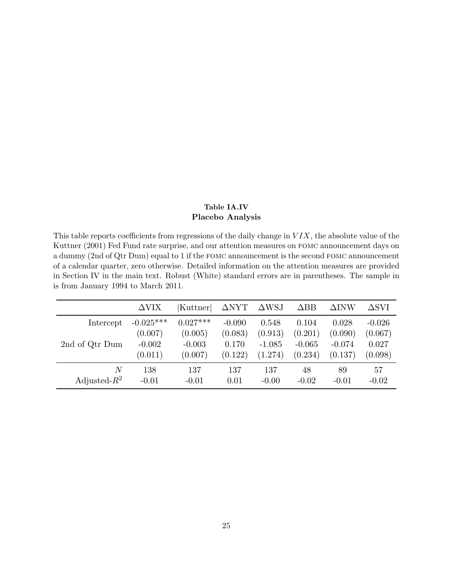#### Table IA.IV Placebo Analysis

<span id="page-25-0"></span>This table reports coefficients from regressions of the daily change in  $VIX$ , the absolute value of the [Kuttner](#page-15-0) [\(2001\)](#page-15-0) Fed Fund rate surprise, and our attention measures on fomc announcement days on a dummy (2nd of Qtr Dum) equal to 1 if the fomc announcement is the second fomc announcement of a calendar quarter, zero otherwise. Detailed information on the attention measures are provided in Section [IV](#page-0-0) in the main text. Robust (White) standard errors are in parentheses. The sample in is from January 1994 to March 2011.

|                 | $\Delta \text{VIX}$ | Kuttner    | $\Delta$ NYT | $\triangle$ WSJ | $\triangle$ BB | $\Delta$ INW | $\Delta$ SVI |
|-----------------|---------------------|------------|--------------|-----------------|----------------|--------------|--------------|
| Intercept       | $-0.025***$         | $0.027***$ | $-0.090$     | 0.548           | 0.104          | 0.028        | $-0.026$     |
|                 | (0.007)             | (0.005)    | (0.083)      | (0.913)         | (0.201)        | (0.090)      | (0.067)      |
| 2nd of Qtr Dum  | $-0.002$            | $-0.003$   | 0.170        | $-1.085$        | $-0.065$       | $-0.074$     | 0.027        |
|                 | (0.011)             | (0.007)    | (0.122)      | (1.274)         | (0.234)        | (0.137)      | (0.098)      |
| N               | 138                 | 137        | 137          | 137             | 48             | 89           | 57           |
| Adjusted- $R^2$ | $-0.01$             | $-0.01$    | 0.01         | $-0.00$         | $-0.02$        | $-0.01$      | $-0.02$      |